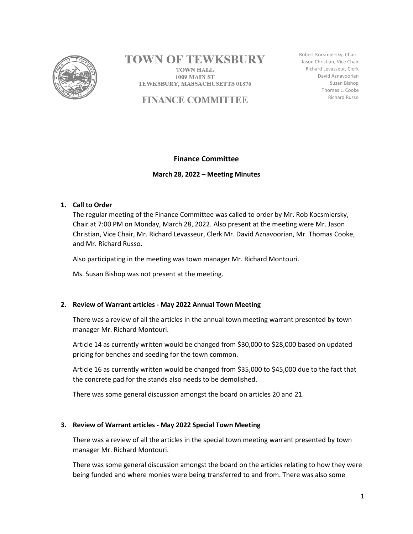

# **TOWN OF TEWKSBURY**

**TOWN HALL 1009 MAIN ST** TEWKSBURY, MASSACHUSETTS 01876

# **FINANCE COMMITTEE**

Robert Kocsmiersky, Chair Jason Christian, Vice Chair Richard Levasseur, Clerk David Aznavoorian Susan Bishop Thomas L. Cooke Richard Russo

## **Finance Committee**

**March 28, 2022 – Meeting Minutes**

#### **1. Call to Order**

The regular meeting of the Finance Committee was called to order by Mr. Rob Kocsmiersky, Chair at 7:00 PM on Monday, March 28, 2022. Also present at the meeting were Mr. Jason Christian, Vice Chair, Mr. Richard Levasseur, Clerk Mr. David Aznavoorian, Mr. Thomas Cooke, and Mr. Richard Russo.

Also participating in the meeting was town manager Mr. Richard Montouri.

Ms. Susan Bishop was not present at the meeting.

#### **2. Review of Warrant articles - May 2022 Annual Town Meeting**

There was a review of all the articles in the annual town meeting warrant presented by town manager Mr. Richard Montouri.

Article 14 as currently written would be changed from \$30,000 to \$28,000 based on updated pricing for benches and seeding for the town common.

Article 16 as currently written would be changed from \$35,000 to \$45,000 due to the fact that the concrete pad for the stands also needs to be demolished.

There was some general discussion amongst the board on articles 20 and 21.

#### **3. Review of Warrant articles - May 2022 Special Town Meeting**

There was a review of all the articles in the special town meeting warrant presented by town manager Mr. Richard Montouri.

There was some general discussion amongst the board on the articles relating to how they were being funded and where monies were being transferred to and from. There was also some